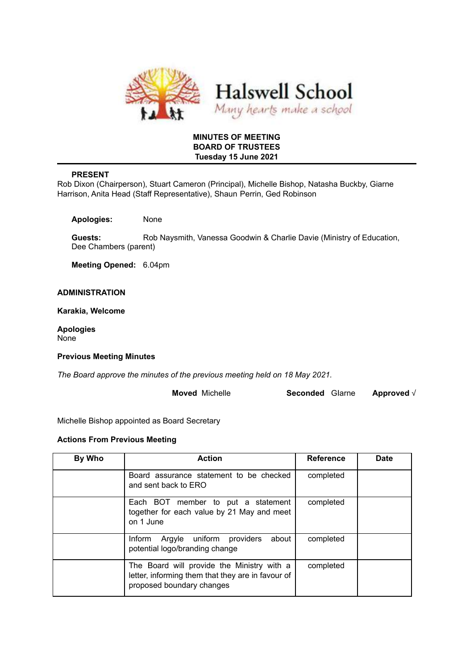

# **MINUTES OF MEETING BOARD OF TRUSTEES Tuesday 15 June 2021**

# **PRESENT**

Rob Dixon (Chairperson), Stuart Cameron (Principal), Michelle Bishop, Natasha Buckby, Giarne Harrison, Anita Head (Staff Representative), Shaun Perrin, Ged Robinson

**Apologies:** None

**Guests:** Rob Naysmith, Vanessa Goodwin & Charlie Davie (Ministry of Education, Dee Chambers (parent)

**Meeting Opened:** 6.04pm

# **ADMINISTRATION**

**Karakia, Welcome**

**Apologies** None

#### **Previous Meeting Minutes**

*The Board approve the minutes of the previous meeting held on 18 May 2021.*

**Moved** Michelle **Seconded** GIarne **Approved** √

Michelle Bishop appointed as Board Secretary

#### **Actions From Previous Meeting**

| By Who | <b>Action</b>                                                                                                                | <b>Reference</b> | <b>Date</b> |
|--------|------------------------------------------------------------------------------------------------------------------------------|------------------|-------------|
|        | Board assurance statement to be checked<br>and sent back to ERO                                                              | completed        |             |
|        | Each BOT member to put a statement<br>together for each value by 21 May and meet<br>on 1 June                                | completed        |             |
|        | Argyle uniform providers<br>about<br>Inform<br>potential logo/branding change                                                | completed        |             |
|        | The Board will provide the Ministry with a<br>letter, informing them that they are in favour of<br>proposed boundary changes | completed        |             |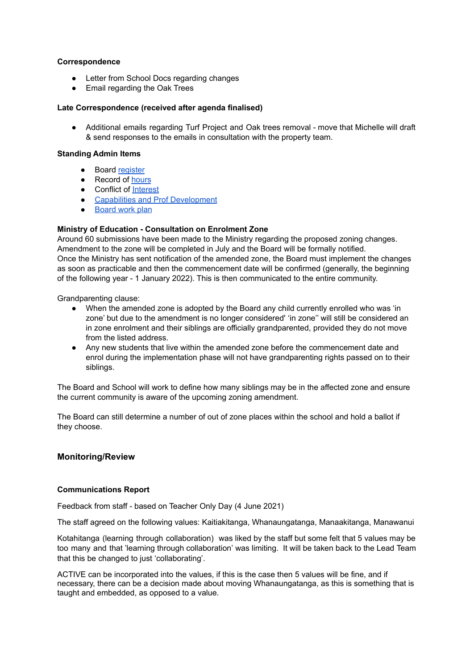# **Correspondence**

- Letter from School Docs regarding changes
- Email regarding the Oak Trees

#### **Late Correspondence (received after agenda finalised)**

• Additional emails regarding Turf Project and Oak trees removal - move that Michelle will draft & send responses to the emails in consultation with the property team.

#### **Standing Admin Items**

- Board [register](https://drive.google.com/open?id=1LgYeP3fbHNJrrdwtKhmni7bUn5KZf6AdawXvp-8GM5I)
- Record of [hours](https://docs.google.com/spreadsheets/d/1ooqHmfuVcjAxJj74l2cyNrLx6E1GWjN2CMAD-VWrSTk/edit#gid=1585903216)
- Conflict of [Interest](https://drive.google.com/open?id=1LpqgUK6iwhrXOSzvrxmLTcgpA-wsuZg7DU-aIw9nGAw)
- Capabilities and Prof [Development](https://drive.google.com/open?id=1Vq0YrIsDwmndZRHvvGvFtK1YOlEWlifxCfIAxHaVDlo)
- [Board](https://docs.google.com/document/d/16WAgjXfZuFQ9Un3Lb7bJ9NQj9tU1J26Koes3jzuU9jQ/edit) work plan

# **Ministry of Education - Consultation on Enrolment Zone**

Around 60 submissions have been made to the Ministry regarding the proposed zoning changes. Amendment to the zone will be completed in July and the Board will be formally notified. Once the Ministry has sent notification of the amended zone, the Board must implement the changes as soon as practicable and then the commencement date will be confirmed (generally, the beginning of the following year - 1 January 2022). This is then communicated to the entire community.

Grandparenting clause:

- When the amended zone is adopted by the Board any child currently enrolled who was 'in zone' but due to the amendment is no longer considered' 'in zone'' will still be considered an in zone enrolment and their siblings are officially grandparented, provided they do not move from the listed address.
- Any new students that live within the amended zone before the commencement date and enrol during the implementation phase will not have grandparenting rights passed on to their siblings.

The Board and School will work to define how many siblings may be in the affected zone and ensure the current community is aware of the upcoming zoning amendment.

The Board can still determine a number of out of zone places within the school and hold a ballot if they choose.

# **Monitoring/Review**

# **Communications Report**

Feedback from staff - based on Teacher Only Day (4 June 2021)

The staff agreed on the following values: Kaitiakitanga, Whanaungatanga, Manaakitanga, Manawanui

Kotahitanga (learning through collaboration) was liked by the staff but some felt that 5 values may be too many and that 'learning through collaboration' was limiting. It will be taken back to the Lead Team that this be changed to just 'collaborating'.

ACTIVE can be incorporated into the values, if this is the case then 5 values will be fine, and if necessary, there can be a decision made about moving Whanaungatanga, as this is something that is taught and embedded, as opposed to a value.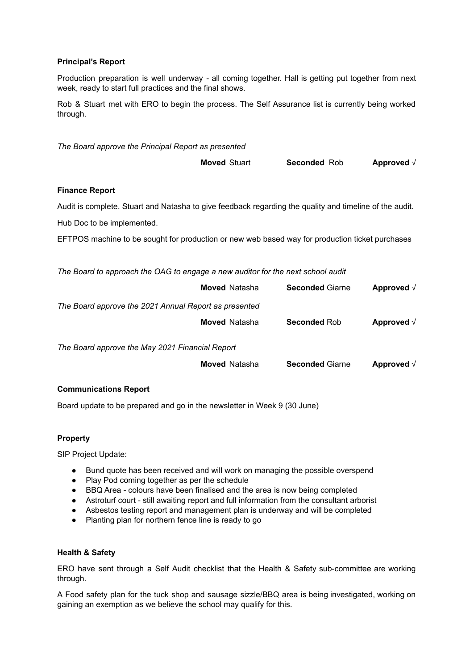# **Principal's Report**

Production preparation is well underway - all coming together. Hall is getting put together from next week, ready to start full practices and the final shows.

Rob & Stuart met with ERO to begin the process. The Self Assurance list is currently being worked through.

| The Board approve the Principal Report as presented                                                     |                      |                        |                    |  |  |  |
|---------------------------------------------------------------------------------------------------------|----------------------|------------------------|--------------------|--|--|--|
|                                                                                                         | <b>Moved Stuart</b>  | Seconded Rob           | Approved $\sqrt{}$ |  |  |  |
| <b>Finance Report</b>                                                                                   |                      |                        |                    |  |  |  |
| Audit is complete. Stuart and Natasha to give feedback regarding the quality and timeline of the audit. |                      |                        |                    |  |  |  |
| Hub Doc to be implemented.                                                                              |                      |                        |                    |  |  |  |
| EFTPOS machine to be sought for production or new web based way for production ticket purchases         |                      |                        |                    |  |  |  |
|                                                                                                         |                      |                        |                    |  |  |  |
| The Board to approach the OAG to engage a new auditor for the next school audit                         |                      |                        |                    |  |  |  |
|                                                                                                         | <b>Moved Natasha</b> | <b>Seconded Giarne</b> | Approved $\sqrt{}$ |  |  |  |
| The Board approve the 2021 Annual Report as presented                                                   |                      |                        |                    |  |  |  |
|                                                                                                         | <b>Moved Natasha</b> | <b>Seconded Rob</b>    | Approved $\sqrt{}$ |  |  |  |
| The Board approve the May 2021 Financial Report                                                         |                      |                        |                    |  |  |  |
|                                                                                                         | <b>Moved Natasha</b> | <b>Seconded Giarne</b> | Approved $\sqrt{}$ |  |  |  |
| <b>Communications Report</b>                                                                            |                      |                        |                    |  |  |  |

Board update to be prepared and go in the newsletter in Week 9 (30 June)

# **Property**

SIP Project Update:

- Bund quote has been received and will work on managing the possible overspend
- Play Pod coming together as per the schedule
- BBQ Area colours have been finalised and the area is now being completed
- Astroturf court still awaiting report and full information from the consultant arborist
- Asbestos testing report and management plan is underway and will be completed
- Planting plan for northern fence line is ready to go

# **Health & Safety**

ERO have sent through a Self Audit checklist that the Health & Safety sub-committee are working through.

A Food safety plan for the tuck shop and sausage sizzle/BBQ area is being investigated, working on gaining an exemption as we believe the school may qualify for this.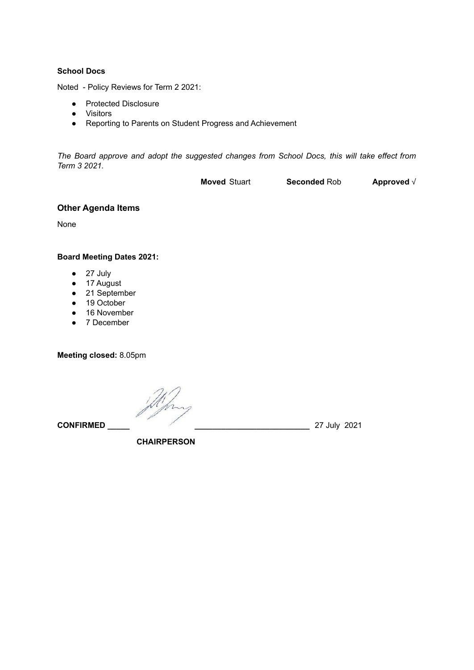### **School Docs**

Noted - Policy Reviews for Term 2 2021:

- Protected Disclosure
- Visitors
- Reporting to Parents on Student Progress and Achievement

*The Board approve and adopt the suggested changes from School Docs, this will take effect from Term 3 2021.*

**Moved** Stuart **Seconded** Rob **Approved** √

# **Other Agenda Items**

None

# **Board Meeting Dates 2021:**

- 27 July
- 17 August
- 21 September
- 19 October
- 16 November
- 7 December

**Meeting closed:** 8.05pm

**CONFIRMED \_\_\_\_\_ \_\_\_\_\_\_\_\_\_\_\_\_\_\_\_\_\_\_\_\_\_\_\_\_\_\_** 27 July 2021

**CHAIRPERSON**